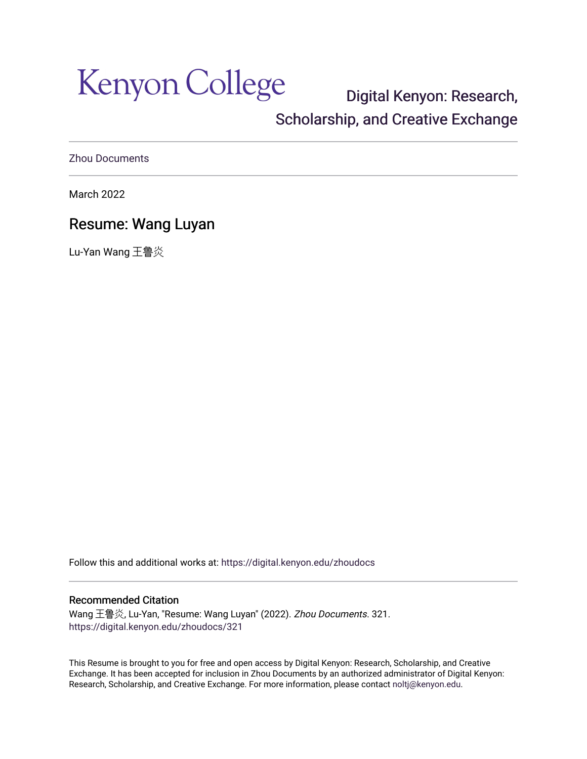Kenyon College

# [Digital Kenyon: Research,](https://digital.kenyon.edu/)  [Scholarship, and Creative Exchange](https://digital.kenyon.edu/)

[Zhou Documents](https://digital.kenyon.edu/zhoudocs) 

March 2022

## Resume: Wang Luyan

Lu-Yan Wang 王鲁炎

Follow this and additional works at: [https://digital.kenyon.edu/zhoudocs](https://digital.kenyon.edu/zhoudocs?utm_source=digital.kenyon.edu%2Fzhoudocs%2F321&utm_medium=PDF&utm_campaign=PDFCoverPages)

### Recommended Citation

Wang 王鲁炎, Lu-Yan, "Resume: Wang Luyan" (2022). Zhou Documents. 321. [https://digital.kenyon.edu/zhoudocs/321](https://digital.kenyon.edu/zhoudocs/321?utm_source=digital.kenyon.edu%2Fzhoudocs%2F321&utm_medium=PDF&utm_campaign=PDFCoverPages)

This Resume is brought to you for free and open access by Digital Kenyon: Research, Scholarship, and Creative Exchange. It has been accepted for inclusion in Zhou Documents by an authorized administrator of Digital Kenyon: Research, Scholarship, and Creative Exchange. For more information, please contact [noltj@kenyon.edu.](mailto:noltj@kenyon.edu)